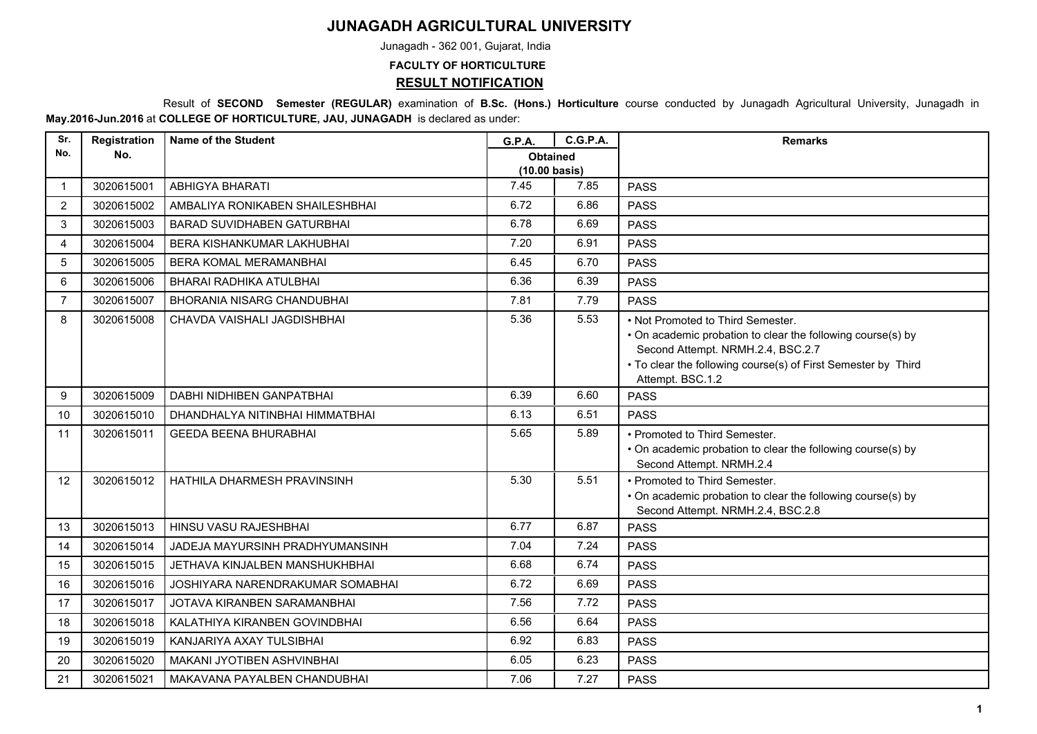## **JUNAGADH AGRICULTURAL UNIVERSITY**

Junagadh - 362 001, Gujarat, India

**FACULTY OF HORTICULTURE**

**RESULT NOTIFICATION**

 Result of **SECOND Semester (REGULAR)** examination of **B.Sc. (Hons.) Horticulture** course conducted by Junagadh Agricultural University, Junagadh in **May.2016-Jun.2016** at **COLLEGE OF HORTICULTURE, JAU, JUNAGADH** is declared as under:

| Sr.            | Registration | <b>Name of the Student</b>        | G.P.A.                                     | <b>C.G.P.A.</b> | <b>Remarks</b>                                                                                                                                                                                                             |
|----------------|--------------|-----------------------------------|--------------------------------------------|-----------------|----------------------------------------------------------------------------------------------------------------------------------------------------------------------------------------------------------------------------|
| No.            | No.          |                                   | <b>Obtained</b><br>$(10.00 \text{ basis})$ |                 |                                                                                                                                                                                                                            |
| $\mathbf 1$    | 3020615001   | ABHIGYA BHARATI                   | 7.45                                       | 7.85            | <b>PASS</b>                                                                                                                                                                                                                |
| $\overline{2}$ | 3020615002   | AMBALIYA RONIKABEN SHAILESHBHAI   | 6.72                                       | 6.86            | <b>PASS</b>                                                                                                                                                                                                                |
| 3              | 3020615003   | <b>BARAD SUVIDHABEN GATURBHAI</b> | 6.78                                       | 6.69            | <b>PASS</b>                                                                                                                                                                                                                |
| 4              | 3020615004   | BERA KISHANKUMAR LAKHUBHAI        | 7.20                                       | 6.91            | <b>PASS</b>                                                                                                                                                                                                                |
| 5              | 3020615005   | <b>BERA KOMAL MERAMANBHAI</b>     | 6.45                                       | 6.70            | <b>PASS</b>                                                                                                                                                                                                                |
| 6              | 3020615006   | BHARAI RADHIKA ATULBHAI           | 6.36                                       | 6.39            | <b>PASS</b>                                                                                                                                                                                                                |
| $\overline{7}$ | 3020615007   | <b>BHORANIA NISARG CHANDUBHAI</b> | 7.81                                       | 7.79            | <b>PASS</b>                                                                                                                                                                                                                |
| 8              | 3020615008   | CHAVDA VAISHALI JAGDISHBHAI       | 5.36                                       | 5.53            | • Not Promoted to Third Semester.<br>• On academic probation to clear the following course(s) by<br>Second Attempt. NRMH.2.4, BSC.2.7<br>• To clear the following course(s) of First Semester by Third<br>Attempt. BSC.1.2 |
| 9              | 3020615009   | DABHI NIDHIBEN GANPATBHAI         | 6.39                                       | 6.60            | <b>PASS</b>                                                                                                                                                                                                                |
| 10             | 3020615010   | DHANDHALYA NITINBHAI HIMMATBHAI   | 6.13                                       | 6.51            | <b>PASS</b>                                                                                                                                                                                                                |
| 11             | 3020615011   | <b>GEEDA BEENA BHURABHAI</b>      | 5.65                                       | 5.89            | • Promoted to Third Semester.<br>• On academic probation to clear the following course(s) by<br>Second Attempt. NRMH.2.4                                                                                                   |
| 12             | 3020615012   | HATHILA DHARMESH PRAVINSINH       | 5.30                                       | 5.51            | • Promoted to Third Semester.<br>• On academic probation to clear the following course(s) by<br>Second Attempt. NRMH.2.4, BSC.2.8                                                                                          |
| 13             | 3020615013   | HINSU VASU RAJESHBHAI             | 6.77                                       | 6.87            | <b>PASS</b>                                                                                                                                                                                                                |
| 14             | 3020615014   | JADEJA MAYURSINH PRADHYUMANSINH   | 7.04                                       | 7.24            | <b>PASS</b>                                                                                                                                                                                                                |
| 15             | 3020615015   | JETHAVA KINJALBEN MANSHUKHBHAI    | 6.68                                       | 6.74            | <b>PASS</b>                                                                                                                                                                                                                |
| 16             | 3020615016   | JOSHIYARA NARENDRAKUMAR SOMABHAI  | 6.72                                       | 6.69            | <b>PASS</b>                                                                                                                                                                                                                |
| 17             | 3020615017   | JOTAVA KIRANBEN SARAMANBHAI       | 7.56                                       | 7.72            | <b>PASS</b>                                                                                                                                                                                                                |
| 18             | 3020615018   | KALATHIYA KIRANBEN GOVINDBHAI     | 6.56                                       | 6.64            | <b>PASS</b>                                                                                                                                                                                                                |
| 19             | 3020615019   | KANJARIYA AXAY TULSIBHAI          | 6.92                                       | 6.83            | <b>PASS</b>                                                                                                                                                                                                                |
| 20             | 3020615020   | MAKANI JYOTIBEN ASHVINBHAI        | 6.05                                       | 6.23            | <b>PASS</b>                                                                                                                                                                                                                |
| 21             | 3020615021   | MAKAVANA PAYALBEN CHANDUBHAI      | 7.06                                       | 7.27            | <b>PASS</b>                                                                                                                                                                                                                |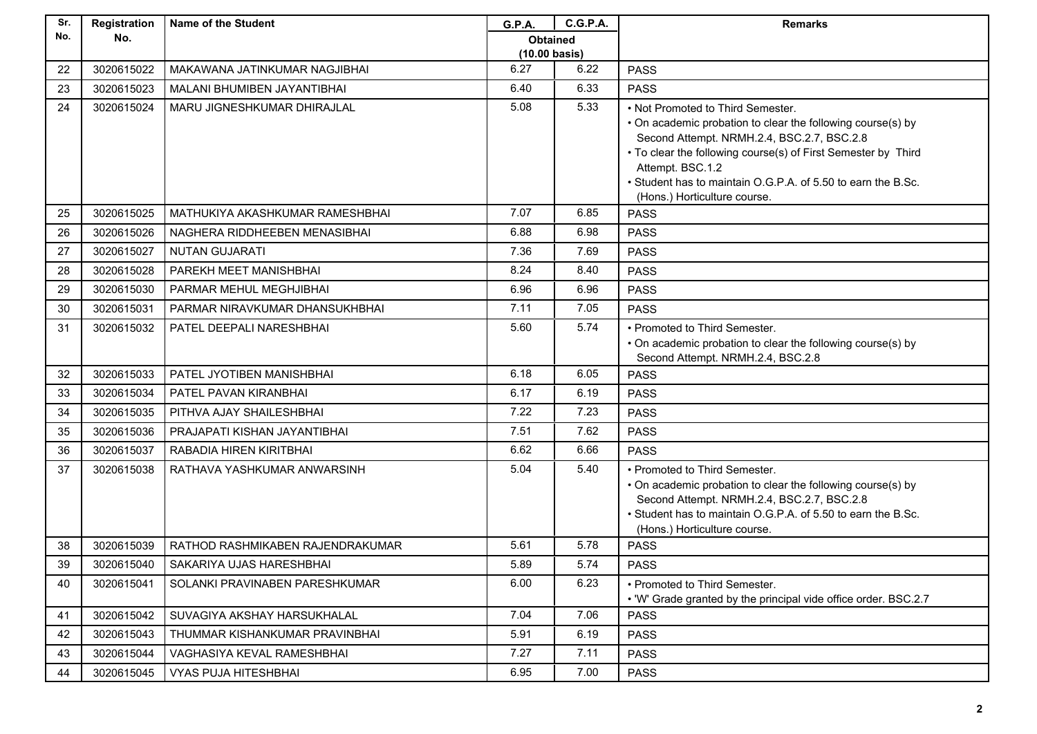| Sr. | Registration | <b>Name of the Student</b>       | <b>G.P.A.</b>   | <b>C.G.P.A.</b> | <b>Remarks</b>                                                                                                                                                                                                                                                                                                                      |
|-----|--------------|----------------------------------|-----------------|-----------------|-------------------------------------------------------------------------------------------------------------------------------------------------------------------------------------------------------------------------------------------------------------------------------------------------------------------------------------|
| No. | No.          |                                  | <b>Obtained</b> |                 |                                                                                                                                                                                                                                                                                                                                     |
|     |              |                                  | (10.00 basis)   |                 |                                                                                                                                                                                                                                                                                                                                     |
| 22  | 3020615022   | MAKAWANA JATINKUMAR NAGJIBHAI    | 6.27            | 6.22            | <b>PASS</b>                                                                                                                                                                                                                                                                                                                         |
| 23  | 3020615023   | MALANI BHUMIBEN JAYANTIBHAI      | 6.40            | 6.33            | <b>PASS</b>                                                                                                                                                                                                                                                                                                                         |
| 24  | 3020615024   | MARU JIGNESHKUMAR DHIRAJLAL      | 5.08            | 5.33            | • Not Promoted to Third Semester.<br>• On academic probation to clear the following course(s) by<br>Second Attempt. NRMH.2.4, BSC.2.7, BSC.2.8<br>• To clear the following course(s) of First Semester by Third<br>Attempt. BSC.1.2<br>• Student has to maintain O.G.P.A. of 5.50 to earn the B.Sc.<br>(Hons.) Horticulture course. |
| 25  | 3020615025   | MATHUKIYA AKASHKUMAR RAMESHBHAI  | 7.07            | 6.85            | <b>PASS</b>                                                                                                                                                                                                                                                                                                                         |
| 26  | 3020615026   | NAGHERA RIDDHEEBEN MENASIBHAI    | 6.88            | 6.98            | <b>PASS</b>                                                                                                                                                                                                                                                                                                                         |
| 27  | 3020615027   | <b>NUTAN GUJARATI</b>            | 7.36            | 7.69            | <b>PASS</b>                                                                                                                                                                                                                                                                                                                         |
| 28  | 3020615028   | PAREKH MEET MANISHBHAI           | 8.24            | 8.40            | <b>PASS</b>                                                                                                                                                                                                                                                                                                                         |
| 29  | 3020615030   | PARMAR MEHUL MEGHJIBHAI          | 6.96            | 6.96            | <b>PASS</b>                                                                                                                                                                                                                                                                                                                         |
| 30  | 3020615031   | PARMAR NIRAVKUMAR DHANSUKHBHAI   | 7.11            | 7.05            | <b>PASS</b>                                                                                                                                                                                                                                                                                                                         |
| 31  | 3020615032   | PATEL DEEPALI NARESHBHAI         | 5.60            | 5.74            | • Promoted to Third Semester.<br>• On academic probation to clear the following course(s) by<br>Second Attempt. NRMH.2.4, BSC.2.8                                                                                                                                                                                                   |
| 32  | 3020615033   | PATEL JYOTIBEN MANISHBHAI        | 6.18            | 6.05            | <b>PASS</b>                                                                                                                                                                                                                                                                                                                         |
| 33  | 3020615034   | PATEL PAVAN KIRANBHAI            | 6.17            | 6.19            | <b>PASS</b>                                                                                                                                                                                                                                                                                                                         |
| 34  | 3020615035   | PITHVA AJAY SHAILESHBHAI         | 7.22            | 7.23            | <b>PASS</b>                                                                                                                                                                                                                                                                                                                         |
| 35  | 3020615036   | PRAJAPATI KISHAN JAYANTIBHAI     | 7.51            | 7.62            | <b>PASS</b>                                                                                                                                                                                                                                                                                                                         |
| 36  | 3020615037   | RABADIA HIREN KIRITBHAI          | 6.62            | 6.66            | <b>PASS</b>                                                                                                                                                                                                                                                                                                                         |
| 37  | 3020615038   | RATHAVA YASHKUMAR ANWARSINH      | 5.04            | 5.40            | • Promoted to Third Semester.<br>• On academic probation to clear the following course(s) by<br>Second Attempt. NRMH.2.4, BSC.2.7, BSC.2.8<br>. Student has to maintain O.G.P.A. of 5.50 to earn the B.Sc.<br>(Hons.) Horticulture course.                                                                                          |
| 38  | 3020615039   | RATHOD RASHMIKABEN RAJENDRAKUMAR | 5.61            | 5.78            | <b>PASS</b>                                                                                                                                                                                                                                                                                                                         |
| 39  | 3020615040   | SAKARIYA UJAS HARESHBHAI         | 5.89            | 5.74            | <b>PASS</b>                                                                                                                                                                                                                                                                                                                         |
| 40  | 3020615041   | SOLANKI PRAVINABEN PARESHKUMAR   | 6.00            | 6.23            | • Promoted to Third Semester.<br>• 'W' Grade granted by the principal vide office order. BSC.2.7                                                                                                                                                                                                                                    |
| 41  | 3020615042   | SUVAGIYA AKSHAY HARSUKHALAL      | 7.04            | 7.06            | <b>PASS</b>                                                                                                                                                                                                                                                                                                                         |
| 42  | 3020615043   | THUMMAR KISHANKUMAR PRAVINBHAI   | 5.91            | 6.19            | <b>PASS</b>                                                                                                                                                                                                                                                                                                                         |
| 43  | 3020615044   | VAGHASIYA KEVAL RAMESHBHAI       | 7.27            | 7.11            | <b>PASS</b>                                                                                                                                                                                                                                                                                                                         |
| 44  | 3020615045   | <b>VYAS PUJA HITESHBHAI</b>      | 6.95            | 7.00            | <b>PASS</b>                                                                                                                                                                                                                                                                                                                         |